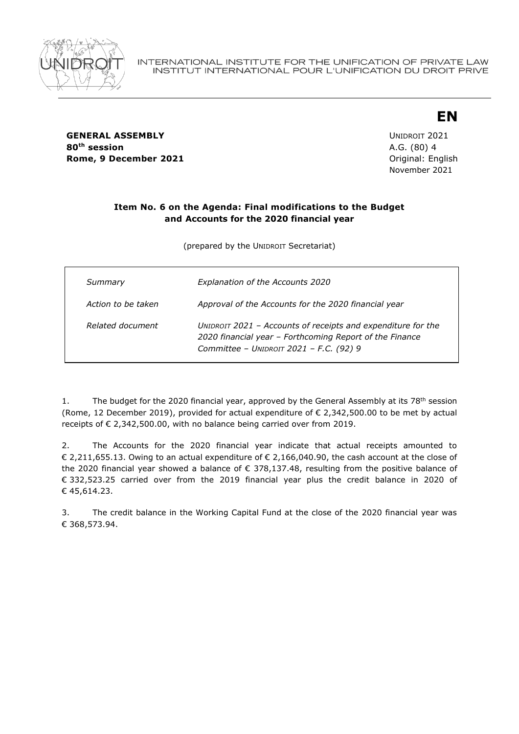

**GENERAL ASSEMBLY CONSUMING A SERVICE 2021 80th session** A.G. (80) 4 **Rome, 9 December 2021 Constanting Constanting Constanting Constanting Constanting Constanting Constanting Constanting Constanting Constanting Constanting Constanting Constanting Constanting Constanting Constanting Const** 

November 2021

**EN**

## **Item No. 6 on the Agenda: Final modifications to the Budget and Accounts for the 2020 financial year**

(prepared by the UNIDROIT Secretariat)

| Summary            | <b>Explanation of the Accounts 2020</b>                                                                                                                            |
|--------------------|--------------------------------------------------------------------------------------------------------------------------------------------------------------------|
| Action to be taken | Approval of the Accounts for the 2020 financial year                                                                                                               |
| Related document   | UNIDROIT 2021 - Accounts of receipts and expenditure for the<br>2020 financial year - Forthcoming Report of the Finance<br>Committee - UNIDROIT 2021 - F.C. (92) 9 |

1. The budget for the 2020 financial year, approved by the General Assembly at its  $78<sup>th</sup>$  session (Rome, 12 December 2019), provided for actual expenditure of  $\epsilon$  2,342,500.00 to be met by actual receipts of € 2,342,500.00, with no balance being carried over from 2019.

2. The Accounts for the 2020 financial year indicate that actual receipts amounted to € 2,211,655.13. Owing to an actual expenditure of € 2,166,040.90, the cash account at the close of the 2020 financial year showed a balance of  $\epsilon$  378,137.48, resulting from the positive balance of € 332,523.25 carried over from the 2019 financial year plus the credit balance in 2020 of € 45,614.23.

3. The credit balance in the Working Capital Fund at the close of the 2020 financial year was € 368,573.94.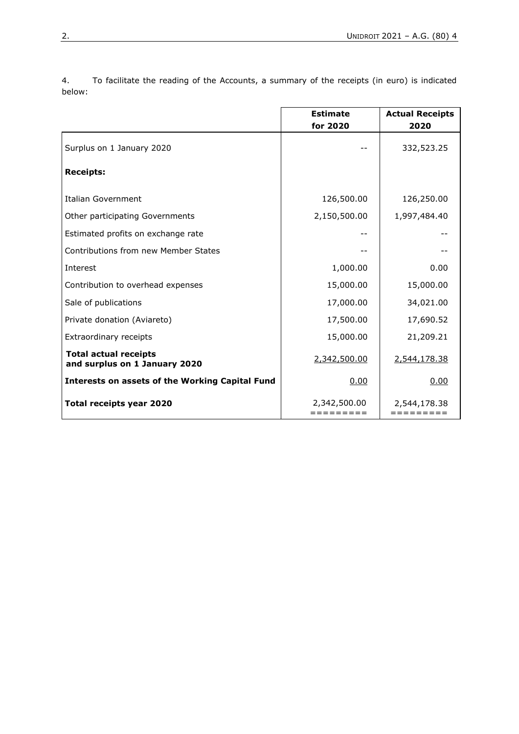**Estimate Actual Receipts for 2020 2020** Surplus on 1 January 2020 **12 Surplus on 1 January 2020 12 Surplus on 1 January 2020 Receipts:** Italian Government 126,500.00 | 126,250.00 Other participating Governments 2,150,500.00 1,997,484.40 Estimated profits on exchange rate and the state of the state of the state of the state of the state of the state of the state of the state of the state of the state of the state of the state of the state of the state of t Contributions from new Member States -- -- Interest 1,000.00 0.00 Contribution to overhead expenses  $\vert$  15,000.00  $\vert$  15,000.00 Sale of publications 17,000.00 34,021.00 Private donation (Aviareto) 17,500.00 17,690.52 Extraordinary receipts 15,000.00 21,209.21 **Total actual receipts and surplus on 1 January 2020** 2,342,500.00 2,544,178.38 **Interests on assets of the Working Capital Fund** 1 0.00 0.00 0.00 **Total receipts year 2020** 2,342,500.00 ========= 2,544,178.38 =========

4. To facilitate the reading of the Accounts, a summary of the receipts (in euro) is indicated below: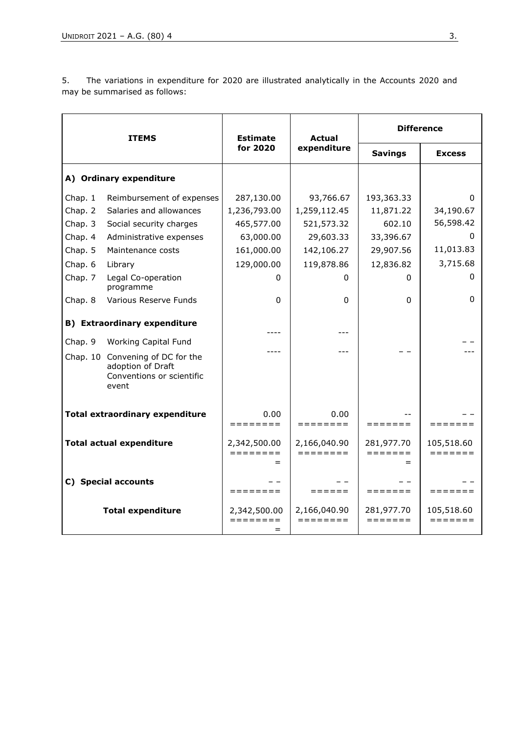5. The variations in expenditure for 2020 are illustrated analytically in the Accounts 2020 and may be summarised as follows:

| <b>ITEMS</b>                           |                                                                                             | <b>Estimate</b><br>for 2020                 | <b>Actual</b><br>expenditure                | <b>Difference</b>     |                       |
|----------------------------------------|---------------------------------------------------------------------------------------------|---------------------------------------------|---------------------------------------------|-----------------------|-----------------------|
|                                        |                                                                                             |                                             |                                             | <b>Savings</b>        | <b>Excess</b>         |
| A) Ordinary expenditure                |                                                                                             |                                             |                                             |                       |                       |
| Chap. 1                                | Reimbursement of expenses                                                                   | 287,130.00                                  | 93,766.67                                   | 193,363.33            | O                     |
| Chap. 2                                | Salaries and allowances                                                                     | 1,236,793.00                                | 1,259,112.45                                | 11,871.22             | 34,190.67             |
| Chap. 3                                | Social security charges                                                                     | 465,577.00                                  | 521,573.32                                  | 602.10                | 56,598.42             |
| Chap. 4                                | Administrative expenses                                                                     | 63,000.00                                   | 29,603.33                                   | 33,396.67             | 0                     |
| Chap. 5                                | Maintenance costs                                                                           | 161,000.00                                  | 142,106.27                                  | 29,907.56             | 11,013.83             |
| Chap. 6                                | Library                                                                                     | 129,000.00                                  | 119,878.86                                  | 12,836.82             | 3,715.68              |
| Chap. 7                                | Legal Co-operation<br>programme                                                             | 0                                           | 0                                           | 0                     |                       |
| Chap. 8                                | Various Reserve Funds                                                                       | 0                                           | $\mathbf{0}$                                | 0                     | 0                     |
| <b>B)</b> Extraordinary expenditure    |                                                                                             | ----                                        | ---                                         |                       |                       |
| Chap. 9                                | <b>Working Capital Fund</b>                                                                 |                                             | ---                                         |                       |                       |
|                                        | Chap. 10 Convening of DC for the<br>adoption of Draft<br>Conventions or scientific<br>event |                                             |                                             |                       |                       |
| <b>Total extraordinary expenditure</b> |                                                                                             | 0.00<br>========                            | 0.00<br>========                            | =======               | =======               |
| <b>Total actual expenditure</b>        |                                                                                             | 2,342,500.00<br>$=$ $=$ $=$ $=$ $=$ $=$ $=$ | 2,166,040.90<br>$=$ $=$ $=$ $=$ $=$ $=$ $=$ | 281,977.70<br>======= | 105,518.60<br>======= |
| C) Special accounts                    |                                                                                             | ========                                    | $=$ $=$ $=$ $=$ $=$                         | $=$ = = = = = =       | =======               |
|                                        | <b>Total expenditure</b>                                                                    | 2,342,500.00<br>========<br>=               | 2,166,040.90<br>========                    | 281,977.70<br>======= | 105,518.60<br>======= |